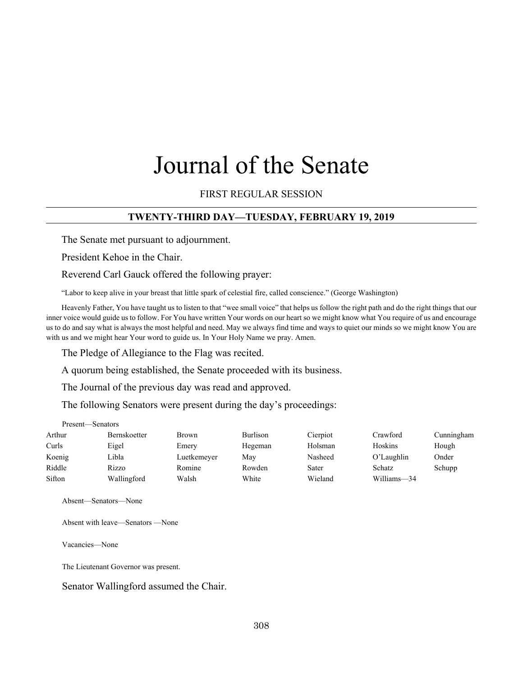# Journal of the Senate

## FIRST REGULAR SESSION

# **TWENTY-THIRD DAY—TUESDAY, FEBRUARY 19, 2019**

The Senate met pursuant to adjournment.

President Kehoe in the Chair.

Reverend Carl Gauck offered the following prayer:

"Labor to keep alive in your breast that little spark of celestial fire, called conscience." (George Washington)

Heavenly Father, You have taught us to listen to that "wee small voice" that helps us follow the right path and do the right things that our inner voice would guide us to follow. For You have written Your words on our heart so we might know what You require of us and encourage us to do and say what is always the most helpful and need. May we always find time and ways to quiet our minds so we might know You are with us and we might hear Your word to guide us. In Your Holy Name we pray. Amen.

The Pledge of Allegiance to the Flag was recited.

A quorum being established, the Senate proceeded with its business.

The Journal of the previous day was read and approved.

The following Senators were present during the day's proceedings:

#### Present—Senators

| Arthur | <b>Bernskoetter</b> | <b>Brown</b> | Burlison | Cierpiot | Crawford    | Cunningham |
|--------|---------------------|--------------|----------|----------|-------------|------------|
| Curls  | Eigel               | Emery        | Hegeman  | Holsman  | Hoskins     | Hough      |
| Koenig | Libla               | Luetkemeyer  | May      | Nasheed  | O'Laughlin  | Onder      |
| Riddle | Rizzo               | Romine       | Rowden   | Sater    | Schatz      | Schupp     |
| Sifton | Wallingford         | Walsh        | White    | Wieland  | Williams-34 |            |

Absent—Senators—None

Absent with leave—Senators —None

Vacancies—None

The Lieutenant Governor was present.

Senator Wallingford assumed the Chair.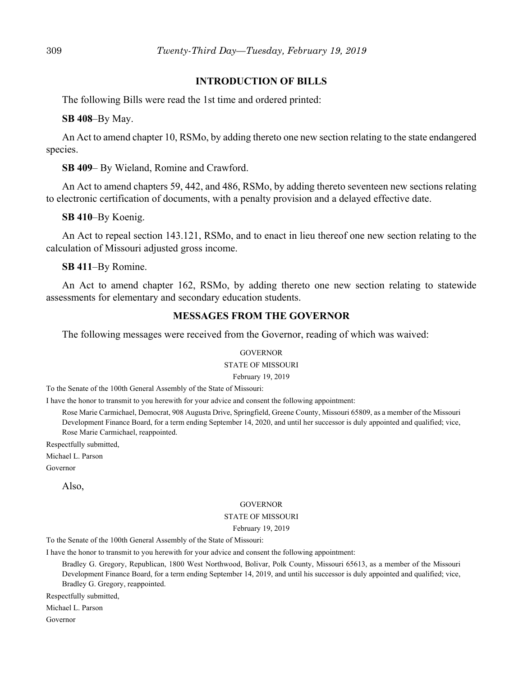## **INTRODUCTION OF BILLS**

The following Bills were read the 1st time and ordered printed:

**SB 408**–By May.

An Act to amend chapter 10, RSMo, by adding thereto one new section relating to the state endangered species.

**SB 409**– By Wieland, Romine and Crawford.

An Act to amend chapters 59, 442, and 486, RSMo, by adding thereto seventeen new sections relating to electronic certification of documents, with a penalty provision and a delayed effective date.

**SB 410**–By Koenig.

An Act to repeal section 143.121, RSMo, and to enact in lieu thereof one new section relating to the calculation of Missouri adjusted gross income.

**SB 411**–By Romine.

An Act to amend chapter 162, RSMo, by adding thereto one new section relating to statewide assessments for elementary and secondary education students.

## **MESSAGES FROM THE GOVERNOR**

The following messages were received from the Governor, reading of which was waived:

#### **GOVERNOR**

STATE OF MISSOURI

February 19, 2019

To the Senate of the 100th General Assembly of the State of Missouri:

I have the honor to transmit to you herewith for your advice and consent the following appointment:

Rose Marie Carmichael, Democrat, 908 Augusta Drive, Springfield, Greene County, Missouri 65809, as a member of the Missouri Development Finance Board, for a term ending September 14, 2020, and until her successor is duly appointed and qualified; vice, Rose Marie Carmichael, reappointed.

Respectfully submitted,

Michael L. Parson

Governor

Also,

#### **GOVERNOR**

#### STATE OF MISSOURI

#### February 19, 2019

To the Senate of the 100th General Assembly of the State of Missouri:

I have the honor to transmit to you herewith for your advice and consent the following appointment:

Bradley G. Gregory, Republican, 1800 West Northwood, Bolivar, Polk County, Missouri 65613, as a member of the Missouri Development Finance Board, for a term ending September 14, 2019, and until his successor is duly appointed and qualified; vice, Bradley G. Gregory, reappointed.

Respectfully submitted,

Michael L. Parson

Governor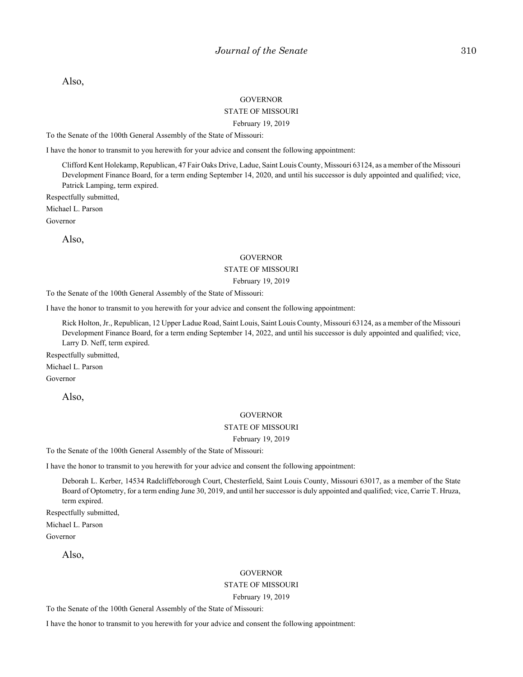Also,

#### **GOVERNOR**

#### STATE OF MISSOURI

#### February 19, 2019

To the Senate of the 100th General Assembly of the State of Missouri:

I have the honor to transmit to you herewith for your advice and consent the following appointment:

Clifford Kent Holekamp, Republican, 47 Fair Oaks Drive, Ladue, Saint Louis County, Missouri 63124, as a member of the Missouri Development Finance Board, for a term ending September 14, 2020, and until his successor is duly appointed and qualified; vice, Patrick Lamping, term expired.

Respectfully submitted,

Michael L. Parson

Governor

Also,

#### **GOVERNOR**

#### STATE OF MISSOURI

#### February 19, 2019

To the Senate of the 100th General Assembly of the State of Missouri:

I have the honor to transmit to you herewith for your advice and consent the following appointment:

Rick Holton, Jr., Republican, 12 Upper Ladue Road, Saint Louis, Saint Louis County, Missouri 63124, as a member of the Missouri Development Finance Board, for a term ending September 14, 2022, and until his successor is duly appointed and qualified; vice, Larry D. Neff, term expired.

Respectfully submitted,

Michael L. Parson

Governor

Also,

#### **GOVERNOR**

#### STATE OF MISSOURI

#### February 19, 2019

To the Senate of the 100th General Assembly of the State of Missouri:

I have the honor to transmit to you herewith for your advice and consent the following appointment:

Deborah L. Kerber, 14534 Radcliffeborough Court, Chesterfield, Saint Louis County, Missouri 63017, as a member of the State Board of Optometry, for a term ending June 30, 2019, and until her successor is duly appointed and qualified; vice, Carrie T. Hruza, term expired.

Respectfully submitted,

Michael L. Parson

Governor

Also,

#### **GOVERNOR**

#### STATE OF MISSOURI

February 19, 2019

To the Senate of the 100th General Assembly of the State of Missouri:

I have the honor to transmit to you herewith for your advice and consent the following appointment: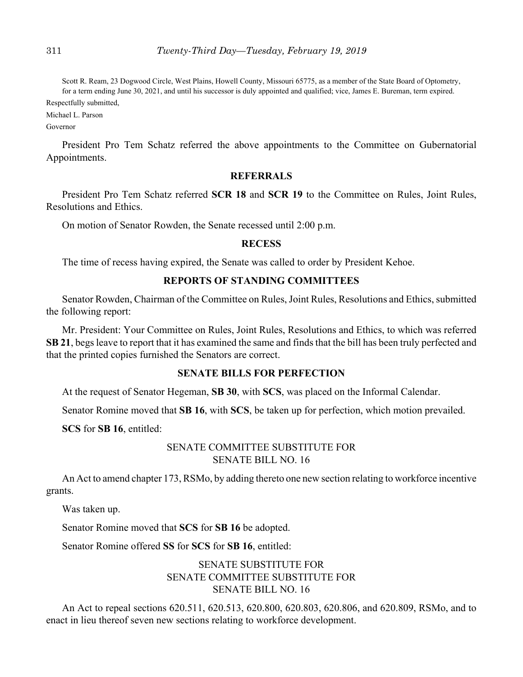Scott R. Ream, 23 Dogwood Circle, West Plains, Howell County, Missouri 65775, as a member of the State Board of Optometry, for a term ending June 30, 2021, and until his successor is duly appointed and qualified; vice, James E. Bureman, term expired.

Respectfully submitted,

Michael L. Parson

Governor

President Pro Tem Schatz referred the above appointments to the Committee on Gubernatorial Appointments.

## **REFERRALS**

President Pro Tem Schatz referred **SCR 18** and **SCR 19** to the Committee on Rules, Joint Rules, Resolutions and Ethics.

On motion of Senator Rowden, the Senate recessed until 2:00 p.m.

## **RECESS**

The time of recess having expired, the Senate was called to order by President Kehoe.

# **REPORTS OF STANDING COMMITTEES**

Senator Rowden, Chairman of the Committee on Rules, Joint Rules, Resolutions and Ethics, submitted the following report:

Mr. President: Your Committee on Rules, Joint Rules, Resolutions and Ethics, to which was referred **SB 21**, begs leave to report that it has examined the same and finds that the bill has been truly perfected and that the printed copies furnished the Senators are correct.

## **SENATE BILLS FOR PERFECTION**

At the request of Senator Hegeman, **SB 30**, with **SCS**, was placed on the Informal Calendar.

Senator Romine moved that **SB 16**, with **SCS**, be taken up for perfection, which motion prevailed.

**SCS** for **SB 16**, entitled:

# SENATE COMMITTEE SUBSTITUTE FOR SENATE BILL NO. 16

An Act to amend chapter 173, RSMo, by adding thereto one new section relating to workforce incentive grants.

Was taken up.

Senator Romine moved that **SCS** for **SB 16** be adopted.

Senator Romine offered **SS** for **SCS** for **SB 16**, entitled:

# SENATE SUBSTITUTE FOR SENATE COMMITTEE SUBSTITUTE FOR SENATE BILL NO. 16

An Act to repeal sections 620.511, 620.513, 620.800, 620.803, 620.806, and 620.809, RSMo, and to enact in lieu thereof seven new sections relating to workforce development.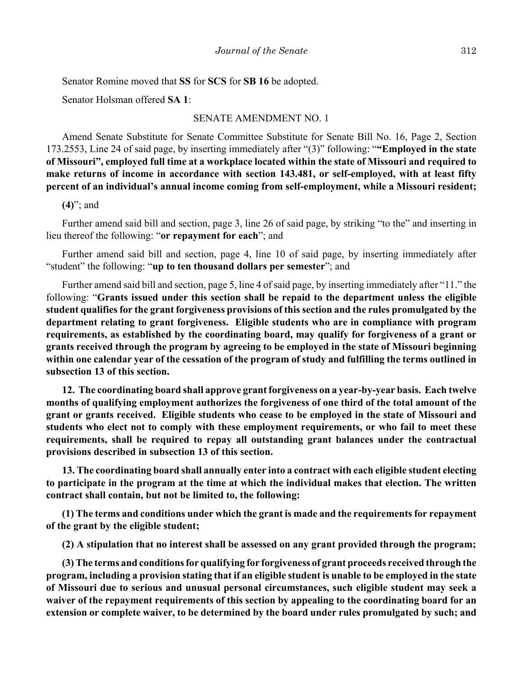Senator Romine moved that **SS** for **SCS** for **SB 16** be adopted.

Senator Holsman offered **SA 1**:

#### SENATE AMENDMENT NO. 1

Amend Senate Substitute for Senate Committee Substitute for Senate Bill No. 16, Page 2, Section 173.2553, Line 24 of said page, by inserting immediately after "(3)" following: "**"Employed in the state of Missouri", employed full time at a workplace located within the state of Missouri and required to make returns of income in accordance with section 143.481, or self-employed, with at least fifty percent of an individual's annual income coming from self-employment, while a Missouri resident;**

## **(4)**"; and

Further amend said bill and section, page 3, line 26 of said page, by striking "to the" and inserting in lieu thereof the following: "**or repayment for each**"; and

Further amend said bill and section, page 4, line 10 of said page, by inserting immediately after "student" the following: "**up to ten thousand dollars per semester**"; and

Further amend said bill and section, page 5, line 4 of said page, by inserting immediately after "11." the following: "**Grants issued under this section shall be repaid to the department unless the eligible student qualifies for the grant forgiveness provisions of this section and the rules promulgated by the department relating to grant forgiveness. Eligible students who are in compliance with program requirements, as established by the coordinating board, may qualify for forgiveness of a grant or grants received through the program by agreeing to be employed in the state of Missouri beginning within one calendar year of the cessation of the program of study and fulfilling the terms outlined in subsection 13 of this section.**

**12. The coordinating board shall approve grant forgiveness on a year-by-year basis. Each twelve months of qualifying employment authorizes the forgiveness of one third of the total amount of the grant or grants received. Eligible students who cease to be employed in the state of Missouri and students who elect not to comply with these employment requirements, or who fail to meet these requirements, shall be required to repay all outstanding grant balances under the contractual provisions described in subsection 13 of this section.**

**13. The coordinating board shall annually enter into a contract with each eligible student electing to participate in the program at the time at which the individual makes that election. The written contract shall contain, but not be limited to, the following:**

**(1) The terms and conditions under which the grant is made and the requirements for repayment of the grant by the eligible student;**

**(2) A stipulation that no interest shall be assessed on any grant provided through the program;**

**(3) The terms and conditions for qualifying for forgiveness of grant proceeds received through the program, including a provision stating that if an eligible student is unable to be employed in the state of Missouri due to serious and unusual personal circumstances, such eligible student may seek a waiver of the repayment requirements of this section by appealing to the coordinating board for an extension or complete waiver, to be determined by the board under rules promulgated by such; and**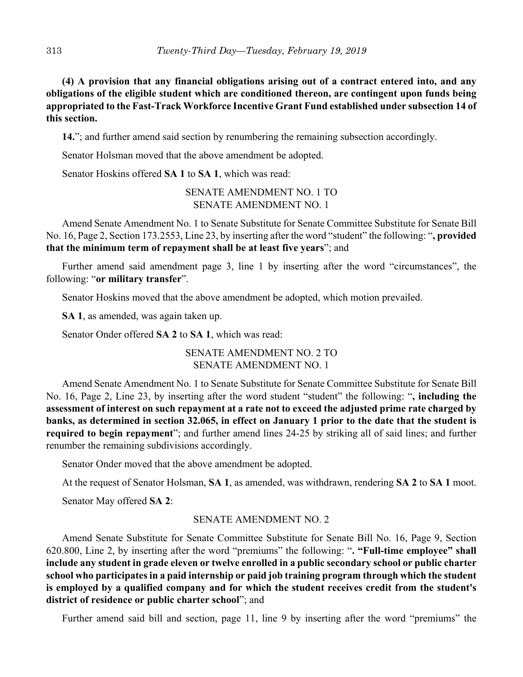**(4) A provision that any financial obligations arising out of a contract entered into, and any obligations of the eligible student which are conditioned thereon, are contingent upon funds being appropriated to the Fast-Track Workforce Incentive Grant Fund established under subsection 14 of this section.**

**14.**"; and further amend said section by renumbering the remaining subsection accordingly.

Senator Holsman moved that the above amendment be adopted.

Senator Hoskins offered **SA 1** to **SA 1**, which was read:

SENATE AMENDMENT NO. 1 TO SENATE AMENDMENT NO. 1

Amend Senate Amendment No. 1 to Senate Substitute for Senate Committee Substitute for Senate Bill No. 16, Page 2, Section 173.2553, Line 23, by inserting after the word "student" the following: "**, provided that the minimum term of repayment shall be at least five years**"; and

Further amend said amendment page 3, line 1 by inserting after the word "circumstances", the following: "**or military transfer**".

Senator Hoskins moved that the above amendment be adopted, which motion prevailed.

**SA 1**, as amended, was again taken up.

Senator Onder offered **SA 2** to **SA 1**, which was read:

SENATE AMENDMENT NO. 2 TO SENATE AMENDMENT NO. 1

Amend Senate Amendment No. 1 to Senate Substitute for Senate Committee Substitute for Senate Bill No. 16, Page 2, Line 23, by inserting after the word student "student" the following: "**, including the assessment of interest on such repayment at a rate not to exceed the adjusted prime rate charged by banks, as determined in section 32.065, in effect on January 1 prior to the date that the student is required to begin repayment**"; and further amend lines 24-25 by striking all of said lines; and further renumber the remaining subdivisions accordingly.

Senator Onder moved that the above amendment be adopted.

At the request of Senator Holsman, **SA 1**, as amended, was withdrawn, rendering **SA 2** to **SA 1** moot.

Senator May offered **SA 2**:

## SENATE AMENDMENT NO. 2

Amend Senate Substitute for Senate Committee Substitute for Senate Bill No. 16, Page 9, Section 620.800, Line 2, by inserting after the word "premiums" the following: "**. "Full-time employee" shall include any student in grade eleven or twelve enrolled in a public secondary school or public charter school who participates in a paid internship or paid job training program through which the student is employed by a qualified company and for which the student receives credit from the student's district of residence or public charter school**"; and

Further amend said bill and section, page 11, line 9 by inserting after the word "premiums" the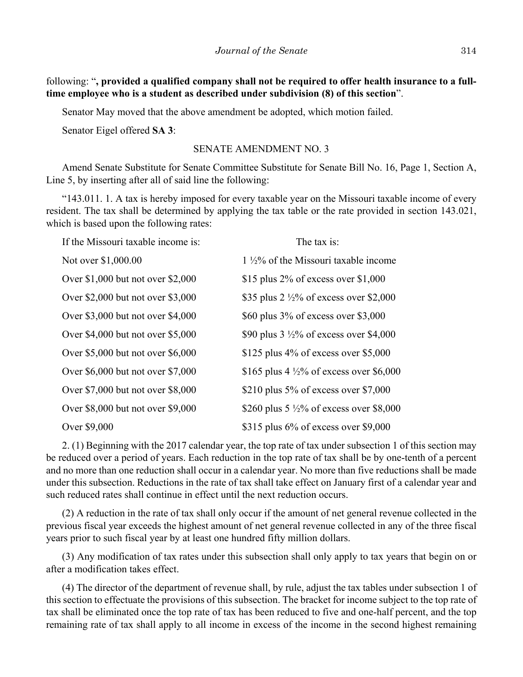following: "**, provided a qualified company shall not be required to offer health insurance to a fulltime employee who is a student as described under subdivision (8) of this section**".

Senator May moved that the above amendment be adopted, which motion failed.

Senator Eigel offered **SA 3**:

#### SENATE AMENDMENT NO. 3

Amend Senate Substitute for Senate Committee Substitute for Senate Bill No. 16, Page 1, Section A, Line 5, by inserting after all of said line the following:

"143.011. 1. A tax is hereby imposed for every taxable year on the Missouri taxable income of every resident. The tax shall be determined by applying the tax table or the rate provided in section 143.021, which is based upon the following rates:

| If the Missouri taxable income is:  | The tax is:                                         |
|-------------------------------------|-----------------------------------------------------|
| Not over \$1,000.00                 | $1\frac{1}{2}\%$ of the Missouri taxable income     |
| Over \$1,000 but not over \$2,000   | \$15 plus 2% of excess over $$1,000$                |
| Over \$2,000 but not over \$3,000   | \$35 plus 2 $\frac{1}{2}\%$ of excess over \$2,000  |
| Over \$3,000 but not over \$4,000   | \$60 plus 3% of excess over \$3,000                 |
| Over $$4,000$ but not over $$5,000$ | \$90 plus $3\frac{1}{2}\%$ of excess over \$4,000   |
| Over \$5,000 but not over \$6,000   | \$125 plus $4\%$ of excess over \$5,000             |
| Over \$6,000 but not over \$7,000   | \$165 plus 4 $\frac{1}{2}\%$ of excess over \$6,000 |
| Over \$7,000 but not over \$8,000   | \$210 plus 5% of excess over \$7,000                |
| Over \$8,000 but not over \$9,000   | \$260 plus 5 $\frac{1}{2}\%$ of excess over \$8,000 |
| Over \$9,000                        | $$315$ plus 6% of excess over \$9,000               |

2. (1) Beginning with the 2017 calendar year, the top rate of tax under subsection 1 of this section may be reduced over a period of years. Each reduction in the top rate of tax shall be by one-tenth of a percent and no more than one reduction shall occur in a calendar year. No more than five reductions shall be made under this subsection. Reductions in the rate of tax shall take effect on January first of a calendar year and such reduced rates shall continue in effect until the next reduction occurs.

(2) A reduction in the rate of tax shall only occur if the amount of net general revenue collected in the previous fiscal year exceeds the highest amount of net general revenue collected in any of the three fiscal years prior to such fiscal year by at least one hundred fifty million dollars.

(3) Any modification of tax rates under this subsection shall only apply to tax years that begin on or after a modification takes effect.

(4) The director of the department of revenue shall, by rule, adjust the tax tables under subsection 1 of this section to effectuate the provisions of this subsection. The bracket for income subject to the top rate of tax shall be eliminated once the top rate of tax has been reduced to five and one-half percent, and the top remaining rate of tax shall apply to all income in excess of the income in the second highest remaining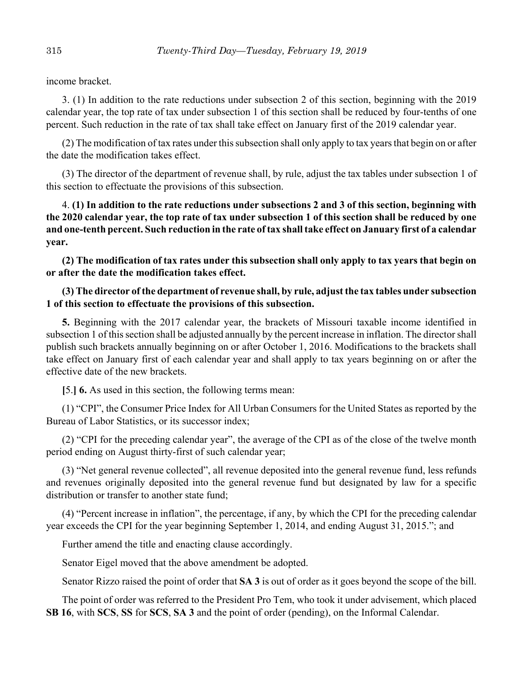income bracket.

3. (1) In addition to the rate reductions under subsection 2 of this section, beginning with the 2019 calendar year, the top rate of tax under subsection 1 of this section shall be reduced by four-tenths of one percent. Such reduction in the rate of tax shall take effect on January first of the 2019 calendar year.

(2) The modification of tax rates under this subsection shall only apply to tax years that begin on or after the date the modification takes effect.

(3) The director of the department of revenue shall, by rule, adjust the tax tables under subsection 1 of this section to effectuate the provisions of this subsection.

4. **(1) In addition to the rate reductions under subsections 2 and 3 of this section, beginning with the 2020 calendar year, the top rate of tax under subsection 1 of this section shall be reduced by one and one-tenth percent. Such reduction in the rate of tax shall take effect on January first of a calendar year.**

**(2) The modification of tax rates under this subsection shall only apply to tax years that begin on or after the date the modification takes effect.**

# **(3) The director of the department of revenue shall, by rule, adjust the tax tables under subsection 1 of this section to effectuate the provisions of this subsection.**

**5.** Beginning with the 2017 calendar year, the brackets of Missouri taxable income identified in subsection 1 of this section shall be adjusted annually by the percent increase in inflation. The director shall publish such brackets annually beginning on or after October 1, 2016. Modifications to the brackets shall take effect on January first of each calendar year and shall apply to tax years beginning on or after the effective date of the new brackets.

**[**5.**] 6.** As used in this section, the following terms mean:

(1) "CPI", the Consumer Price Index for All Urban Consumers for the United States as reported by the Bureau of Labor Statistics, or its successor index;

(2) "CPI for the preceding calendar year", the average of the CPI as of the close of the twelve month period ending on August thirty-first of such calendar year;

(3) "Net general revenue collected", all revenue deposited into the general revenue fund, less refunds and revenues originally deposited into the general revenue fund but designated by law for a specific distribution or transfer to another state fund;

(4) "Percent increase in inflation", the percentage, if any, by which the CPI for the preceding calendar year exceeds the CPI for the year beginning September 1, 2014, and ending August 31, 2015."; and

Further amend the title and enacting clause accordingly.

Senator Eigel moved that the above amendment be adopted.

Senator Rizzo raised the point of order that **SA 3** is out of order as it goes beyond the scope of the bill.

The point of order was referred to the President Pro Tem, who took it under advisement, which placed **SB 16**, with **SCS**, **SS** for **SCS**, **SA 3** and the point of order (pending), on the Informal Calendar.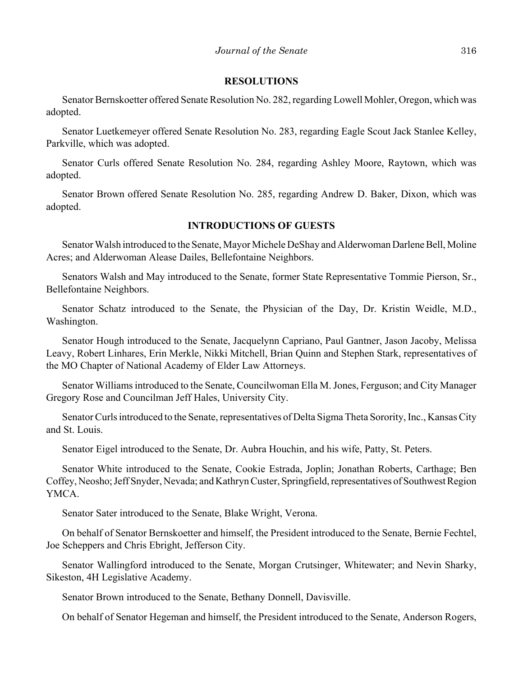## **RESOLUTIONS**

Senator Bernskoetter offered Senate Resolution No. 282, regarding Lowell Mohler, Oregon, which was adopted.

Senator Luetkemeyer offered Senate Resolution No. 283, regarding Eagle Scout Jack Stanlee Kelley, Parkville, which was adopted.

Senator Curls offered Senate Resolution No. 284, regarding Ashley Moore, Raytown, which was adopted.

Senator Brown offered Senate Resolution No. 285, regarding Andrew D. Baker, Dixon, which was adopted.

# **INTRODUCTIONS OF GUESTS**

Senator Walsh introduced to the Senate, Mayor Michele DeShay and Alderwoman Darlene Bell, Moline Acres; and Alderwoman Alease Dailes, Bellefontaine Neighbors.

Senators Walsh and May introduced to the Senate, former State Representative Tommie Pierson, Sr., Bellefontaine Neighbors.

Senator Schatz introduced to the Senate, the Physician of the Day, Dr. Kristin Weidle, M.D., Washington.

Senator Hough introduced to the Senate, Jacquelynn Capriano, Paul Gantner, Jason Jacoby, Melissa Leavy, Robert Linhares, Erin Merkle, Nikki Mitchell, Brian Quinn and Stephen Stark, representatives of the MO Chapter of National Academy of Elder Law Attorneys.

Senator Williams introduced to the Senate, Councilwoman Ella M. Jones, Ferguson; and City Manager Gregory Rose and Councilman Jeff Hales, University City.

Senator Curls introduced to the Senate, representatives of Delta Sigma Theta Sorority, Inc., Kansas City and St. Louis.

Senator Eigel introduced to the Senate, Dr. Aubra Houchin, and his wife, Patty, St. Peters.

Senator White introduced to the Senate, Cookie Estrada, Joplin; Jonathan Roberts, Carthage; Ben Coffey, Neosho; Jeff Snyder, Nevada; and Kathryn Custer, Springfield, representatives of Southwest Region YMCA.

Senator Sater introduced to the Senate, Blake Wright, Verona.

On behalf of Senator Bernskoetter and himself, the President introduced to the Senate, Bernie Fechtel, Joe Scheppers and Chris Ebright, Jefferson City.

Senator Wallingford introduced to the Senate, Morgan Crutsinger, Whitewater; and Nevin Sharky, Sikeston, 4H Legislative Academy.

Senator Brown introduced to the Senate, Bethany Donnell, Davisville.

On behalf of Senator Hegeman and himself, the President introduced to the Senate, Anderson Rogers,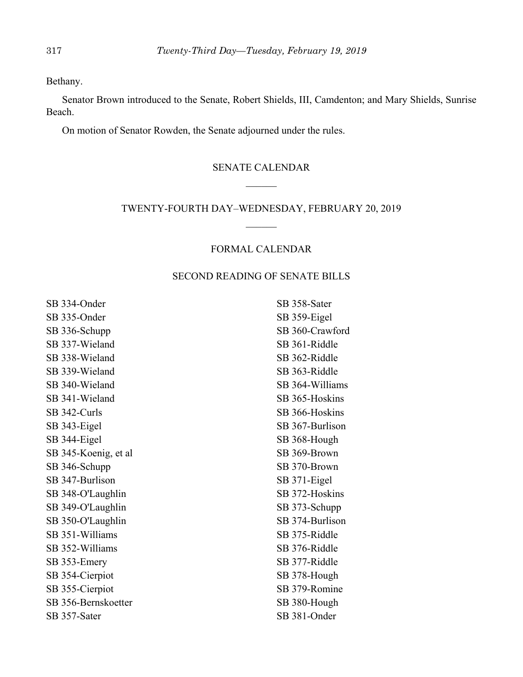Bethany.

Senator Brown introduced to the Senate, Robert Shields, III, Camdenton; and Mary Shields, Sunrise Beach.

On motion of Senator Rowden, the Senate adjourned under the rules.

## SENATE CALENDAR

## TWENTY-FOURTH DAY–WEDNESDAY, FEBRUARY 20, 2019

# FORMAL CALENDAR

## SECOND READING OF SENATE BILLS

SB 334-Onder SB 335-Onder SB 336-Schupp SB 337-Wieland SB 338-Wieland SB 339-Wieland SB 340-Wieland SB 341-Wieland SB 342-Curls SB 343-Eigel SB 344-Eigel SB 345-Koenig, et al SB 346-Schupp SB 347-Burlison SB 348-O'Laughlin SB 349-O'Laughlin SB 350-O'Laughlin SB 351-Williams SB 352-Williams SB 353-Emery SB 354-Cierpiot SB 355-Cierpiot SB 356-Bernskoetter SB 357-Sater

SB 358-Sater SB 359-Eigel SB 360-Crawford SB 361-Riddle SB 362-Riddle SB 363-Riddle SB 364-Williams SB 365-Hoskins SB 366-Hoskins SB 367-Burlison SB 368-Hough SB 369-Brown SB 370-Brown SB 371-Eigel SB 372-Hoskins SB 373-Schupp SB 374-Burlison SB 375-Riddle SB 376-Riddle SB 377-Riddle SB 378-Hough SB 379-Romine SB 380-Hough SB 381-Onder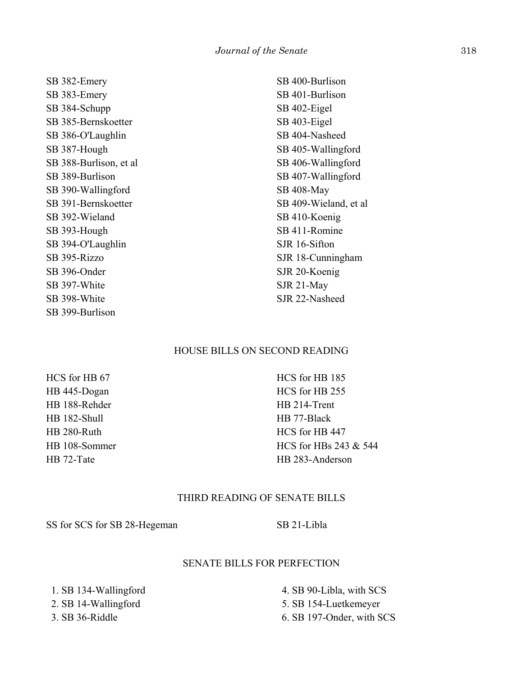SB 382-Emery SB 383-Emery SB 384-Schupp SB 385-Bernskoetter SB 386-O'Laughlin SB 387-Hough SB 388-Burlison, et al SB 389-Burlison SB 390-Wallingford SB 391-Bernskoetter SB 392-Wieland SB 393-Hough SB 394-O'Laughlin SB 395-Rizzo SB 396-Onder SB 397-White SB 398-White SB 399-Burlison

SB 400-Burlison SB 401-Burlison SB 402-Eigel SB 403-Eigel SB 404-Nasheed SB 405-Wallingford SB 406-Wallingford SB 407-Wallingford SB 408-May SB 409-Wieland, et al SB 410-Koenig SB 411-Romine SJR 16-Sifton SJR 18-Cunningham SJR 20-Koenig SJR 21-May SJR 22-Nasheed

## HOUSE BILLS ON SECOND READING

HCS for HB 67 HB 445-Dogan HB 188-Rehder HB 182-Shull HB 280-Ruth HB 108-Sommer HB 72-Tate

HCS for HB 185 HCS for HB 255 HB 214-Trent HB 77-Black HCS for HB 447 HCS for HBs 243 & 544 HB 283-Anderson

## THIRD READING OF SENATE BILLS

SS for SCS for SB 28-Hegeman SB 21-Libla

#### SENATE BILLS FOR PERFECTION

 1. SB 134-Wallingford 2. SB 14-Wallingford 3. SB 36-Riddle

 4. SB 90-Libla, with SCS 5. SB 154-Luetkemeyer 6. SB 197-Onder, with SCS